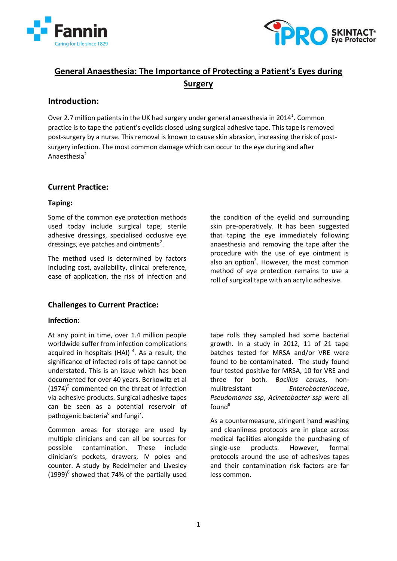



# **General Anaesthesia: The Importance of Protecting a Patient's Eyes during Surgery**

## **Introduction:**

Over 2.7 million patients in the UK had surgery under general anaesthesia in 2014<sup>1</sup>. Common practice is to tape the patient's eyelids closed using surgical adhesive tape. This tape is removed post-surgery by a nurse. This removal is known to cause skin abrasion, increasing the risk of postsurgery infection. The most common damage which can occur to the eye during and after Anaesthesia<sup>2</sup>

## **Current Practice:**

## **Taping:**

Some of the common eye protection methods used today include surgical tape, sterile adhesive dressings, specialised occlusive eye dressings, eye patches and ointments<sup>2</sup>.

The method used is determined by factors including cost, availability, clinical preference, ease of application, the risk of infection and

## **Challenges to Current Practice:**

### **Infection:**

At any point in time, over 1.4 million people worldwide suffer from infection complications acquired in hospitals (HAI)<sup>4</sup>. As a result, the significance of infected rolls of tape cannot be understated. This is an issue which has been documented for over 40 years. Berkowitz et al  $(1974)^5$  commented on the threat of infection via adhesive products. Surgical adhesive tapes can be seen as a potential reservoir of pathogenic bacteria<sup>6</sup> and fungi<sup>7</sup>.

Common areas for storage are used by multiple clinicians and can all be sources for possible contamination. These include clinician's pockets, drawers, IV poles and counter. A study by Redelmeier and Livesley  $(1999)^6$  showed that 74% of the partially used the condition of the eyelid and surrounding skin pre-operatively. It has been suggested that taping the eye immediately following anaesthesia and removing the tape after the procedure with the use of eye ointment is also an option<sup>3</sup>. However, the most common method of eye protection remains to use a roll of surgical tape with an acrylic adhesive.

tape rolls they sampled had some bacterial growth. In a study in 2012, 11 of 21 tape batches tested for MRSA and/or VRE were found to be contaminated. The study found four tested positive for MRSA, 10 for VRE and three for both. *Bacillus cerues*, nonmulitresistant *Enterobacteriaceae*, *Pseudomonas ssp*, *Acinetobacter ssp* were all found<sup>8</sup>

As a countermeasure, stringent hand washing and cleanliness protocols are in place across medical facilities alongside the purchasing of single-use products. However, formal protocols around the use of adhesives tapes and their contamination risk factors are far less common.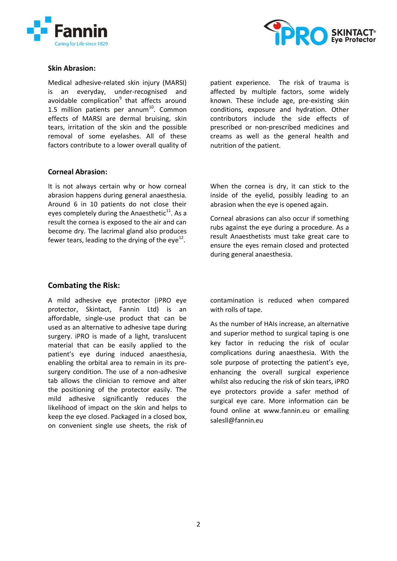



#### **Skin Abrasion:**

Medical adhesive-related skin injury (MARSI) is an everyday, under-recognised and avoidable complication<sup>9</sup> that affects around 1.5 million patients per annum $^{10}$ . Common effects of MARSI are dermal bruising, skin tears, irritation of the skin and the possible removal of some eyelashes. All of these factors contribute to a lower overall quality of patient experience. The risk of trauma is affected by multiple factors, some widely known. These include age, pre-existing skin conditions, exposure and hydration. Other contributors include the side effects of prescribed or non-prescribed medicines and creams as well as the general health and nutrition of the patient.

### **Corneal Abrasion:**

It is not always certain why or how corneal abrasion happens during general anaesthesia. Around 6 in 10 patients do not close their eyes completely during the Anaesthetic $^{11}$ . As a result the cornea is exposed to the air and can become dry. The lacrimal gland also produces fewer tears, leading to the drying of the eye $^{12}$ .

When the cornea is dry, it can stick to the inside of the eyelid, possibly leading to an abrasion when the eye is opened again.

Corneal abrasions can also occur if something rubs against the eye during a procedure. As a result Anaesthetists must take great care to ensure the eyes remain closed and protected during general anaesthesia.

### **Combating the Risk:**

A mild adhesive eye protector (iPRO eye protector, Skintact, Fannin Ltd) is an affordable, single-use product that can be used as an alternative to adhesive tape during surgery. iPRO is made of a light, translucent material that can be easily applied to the patient's eye during induced anaesthesia, enabling the orbital area to remain in its presurgery condition. The use of a non-adhesive tab allows the clinician to remove and alter the positioning of the protector easily. The mild adhesive significantly reduces the likelihood of impact on the skin and helps to keep the eye closed. Packaged in a closed box, on convenient single use sheets, the risk of contamination is reduced when compared with rolls of tape.

As the number of HAIs increase, an alternative and superior method to surgical taping is one key factor in reducing the risk of ocular complications during anaesthesia. With the sole purpose of protecting the patient's eye, enhancing the overall surgical experience whilst also reducing the risk of skin tears, iPRO eye protectors provide a safer method of surgical eye care. More information can be found online at [www.fannin.eu](http://www.fannin.eu/) or emailing [salesll@fannin.eu](mailto:salesll@fannin.eu)